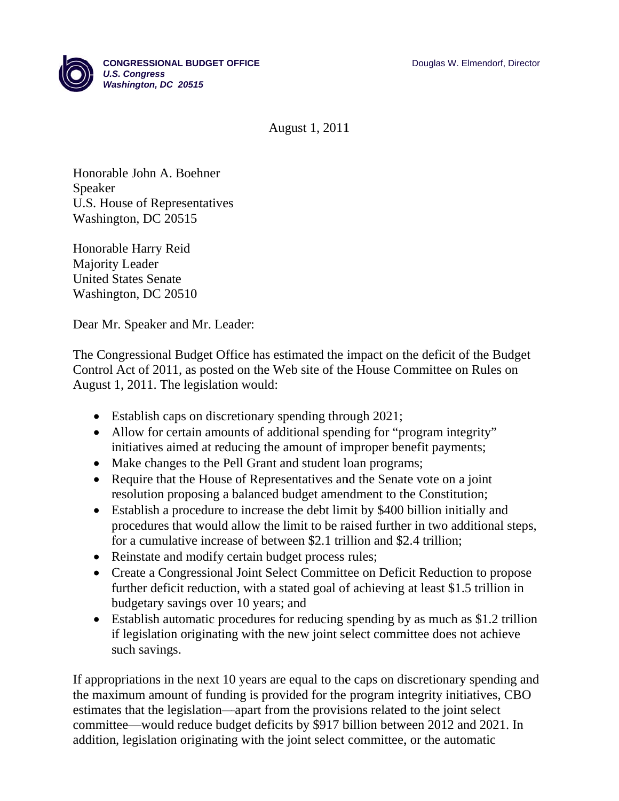

Aug gust 1, 2011

Honorable John A. Boehner Speaker U.S. House of Representatives Washington, DC 20515

Honorable Harry Reid Majority Leader United States Senate Washington, DC 20510

Dear Mr. Speaker and Mr. Lea s<br>ader:

The Congressional Budget Office has estimated the impact on the deficit of the Budget Control Act of 2011, as posted on the Web site of the House Committee on Rules on August 1, 2011. The legislation would: 1impact on t

- Establish caps on discretionary spending through 2021;
- Allow for certain amounts of additional spending for "program integrity" initiatives aimed at reducing the amount of improper benefit payments;
- Make changes to the Pell Grant and student loan programs;
- Require that the House of Representatives and the Senate vote on a joint resolution proposing a balanced budget amendment to the Constitution;
- Establish a procedure to increase the debt limit by \$400 billion initially and procedures that would allow the limit to be raised further in two additional steps, for a cumulative increase of between \$2.1 trillion and \$2.4 trillion;
- Reinstate and modify certain budget process rules;
- Create a Congressional Joint Select Committee on Deficit Reduction to propose further deficit reduction, with a stated goal of achieving at least \$1.5 trillion in budgetary savings over 10 years; and further deficit reduction, with a stated goal of achieving at least \$1.5 trillion in<br>budgetary savings over 10 years; and<br>Establish automatic procedures for reducing spending by as much as \$1.2 trillion
- if legislation originating with the new joint select committee does not achieve s such saving s.

If appropriations in the next 10 years are equal to the caps on discretionary spending and the maximum amount of funding is provided for the program integrity initiatives, CBO estimates that the legislation—apart from the provisions related to the joint select committee—would reduce budget deficits by \$917 billion between 2012 and 2021. In addition, legislation originating with the joint select committee, or the automatic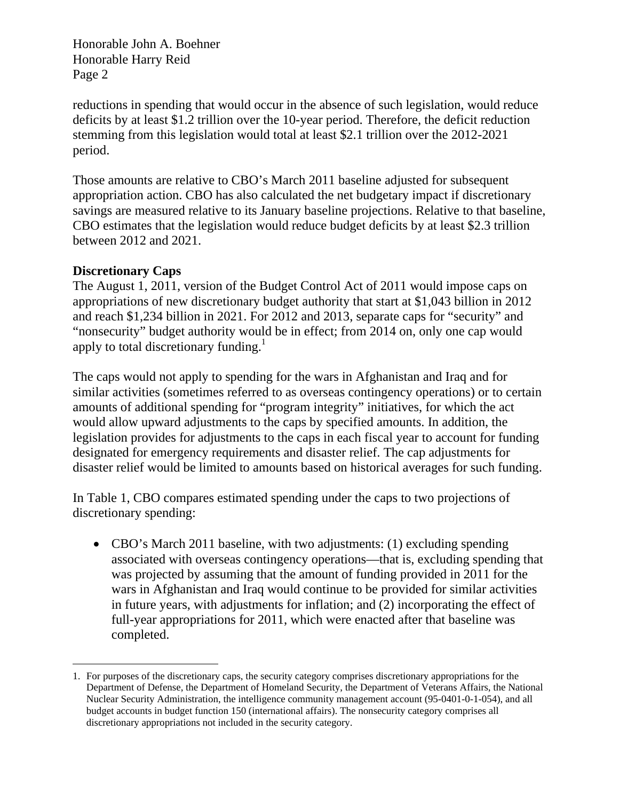reductions in spending that would occur in the absence of such legislation, would reduce deficits by at least \$1.2 trillion over the 10-year period. Therefore, the deficit reduction stemming from this legislation would total at least \$2.1 trillion over the 2012-2021 period.

Those amounts are relative to CBO's March 2011 baseline adjusted for subsequent appropriation action. CBO has also calculated the net budgetary impact if discretionary savings are measured relative to its January baseline projections. Relative to that baseline, CBO estimates that the legislation would reduce budget deficits by at least \$2.3 trillion between 2012 and 2021.

# **Discretionary Caps**

The August 1, 2011, version of the Budget Control Act of 2011 would impose caps on appropriations of new discretionary budget authority that start at \$1,043 billion in 2012 and reach \$1,234 billion in 2021. For 2012 and 2013, separate caps for "security" and "nonsecurity" budget authority would be in effect; from 2014 on, only one cap would apply to total discretionary funding.<sup>1</sup>

The caps would not apply to spending for the wars in Afghanistan and Iraq and for similar activities (sometimes referred to as overseas contingency operations) or to certain amounts of additional spending for "program integrity" initiatives, for which the act would allow upward adjustments to the caps by specified amounts. In addition, the legislation provides for adjustments to the caps in each fiscal year to account for funding designated for emergency requirements and disaster relief. The cap adjustments for disaster relief would be limited to amounts based on historical averages for such funding.

In Table 1, CBO compares estimated spending under the caps to two projections of discretionary spending:

• CBO's March 2011 baseline, with two adjustments: (1) excluding spending associated with overseas contingency operations—that is, excluding spending that was projected by assuming that the amount of funding provided in 2011 for the wars in Afghanistan and Iraq would continue to be provided for similar activities in future years, with adjustments for inflation; and (2) incorporating the effect of full-year appropriations for 2011, which were enacted after that baseline was completed.

 $\overline{a}$ 1. For purposes of the discretionary caps, the security category comprises discretionary appropriations for the Department of Defense, the Department of Homeland Security, the Department of Veterans Affairs, the National Nuclear Security Administration, the intelligence community management account (95-0401-0-1-054), and all budget accounts in budget function 150 (international affairs). The nonsecurity category comprises all discretionary appropriations not included in the security category.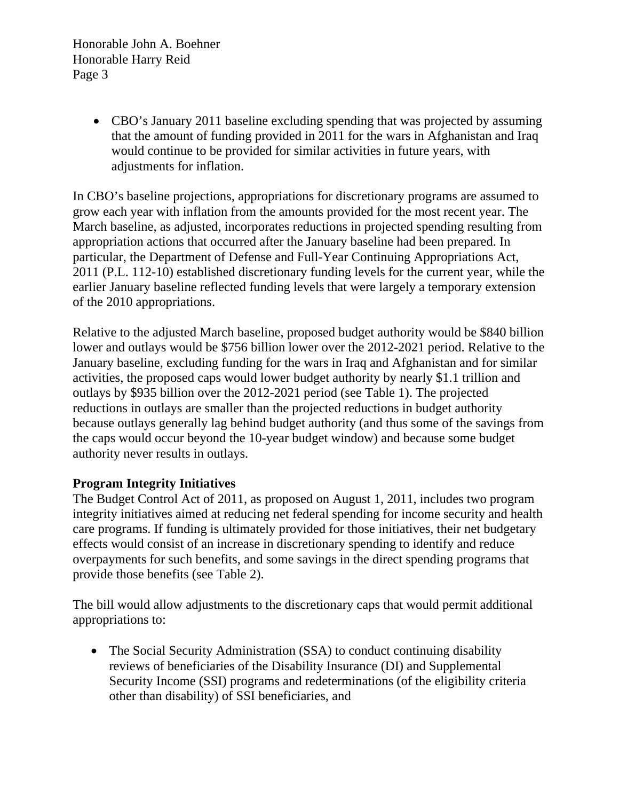> • CBO's January 2011 baseline excluding spending that was projected by assuming that the amount of funding provided in 2011 for the wars in Afghanistan and Iraq would continue to be provided for similar activities in future years, with adjustments for inflation.

In CBO's baseline projections, appropriations for discretionary programs are assumed to grow each year with inflation from the amounts provided for the most recent year. The March baseline, as adjusted, incorporates reductions in projected spending resulting from appropriation actions that occurred after the January baseline had been prepared. In particular, the Department of Defense and Full-Year Continuing Appropriations Act, 2011 (P.L. 112-10) established discretionary funding levels for the current year, while the earlier January baseline reflected funding levels that were largely a temporary extension of the 2010 appropriations.

Relative to the adjusted March baseline, proposed budget authority would be \$840 billion lower and outlays would be \$756 billion lower over the 2012-2021 period. Relative to the January baseline, excluding funding for the wars in Iraq and Afghanistan and for similar activities, the proposed caps would lower budget authority by nearly \$1.1 trillion and outlays by \$935 billion over the 2012-2021 period (see Table 1). The projected reductions in outlays are smaller than the projected reductions in budget authority because outlays generally lag behind budget authority (and thus some of the savings from the caps would occur beyond the 10-year budget window) and because some budget authority never results in outlays.

## **Program Integrity Initiatives**

The Budget Control Act of 2011, as proposed on August 1, 2011, includes two program integrity initiatives aimed at reducing net federal spending for income security and health care programs. If funding is ultimately provided for those initiatives, their net budgetary effects would consist of an increase in discretionary spending to identify and reduce overpayments for such benefits, and some savings in the direct spending programs that provide those benefits (see Table 2).

The bill would allow adjustments to the discretionary caps that would permit additional appropriations to:

• The Social Security Administration (SSA) to conduct continuing disability reviews of beneficiaries of the Disability Insurance (DI) and Supplemental Security Income (SSI) programs and redeterminations (of the eligibility criteria other than disability) of SSI beneficiaries, and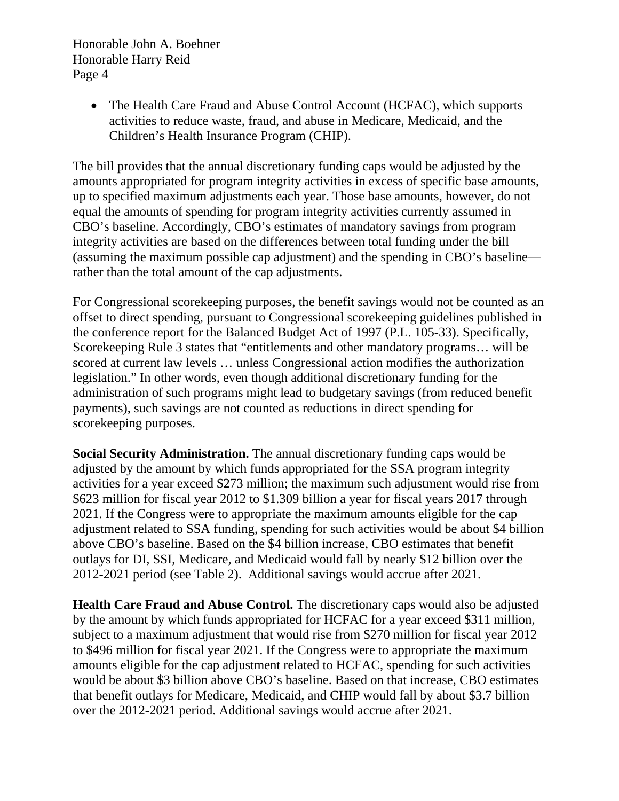> • The Health Care Fraud and Abuse Control Account (HCFAC), which supports activities to reduce waste, fraud, and abuse in Medicare, Medicaid, and the Children's Health Insurance Program (CHIP).

The bill provides that the annual discretionary funding caps would be adjusted by the amounts appropriated for program integrity activities in excess of specific base amounts, up to specified maximum adjustments each year. Those base amounts, however, do not equal the amounts of spending for program integrity activities currently assumed in CBO's baseline. Accordingly, CBO's estimates of mandatory savings from program integrity activities are based on the differences between total funding under the bill (assuming the maximum possible cap adjustment) and the spending in CBO's baseline rather than the total amount of the cap adjustments.

For Congressional scorekeeping purposes, the benefit savings would not be counted as an offset to direct spending, pursuant to Congressional scorekeeping guidelines published in the conference report for the Balanced Budget Act of 1997 (P.L. 105-33). Specifically, Scorekeeping Rule 3 states that "entitlements and other mandatory programs… will be scored at current law levels … unless Congressional action modifies the authorization legislation." In other words, even though additional discretionary funding for the administration of such programs might lead to budgetary savings (from reduced benefit payments), such savings are not counted as reductions in direct spending for scorekeeping purposes.

**Social Security Administration.** The annual discretionary funding caps would be adjusted by the amount by which funds appropriated for the SSA program integrity activities for a year exceed \$273 million; the maximum such adjustment would rise from \$623 million for fiscal year 2012 to \$1.309 billion a year for fiscal years 2017 through 2021. If the Congress were to appropriate the maximum amounts eligible for the cap adjustment related to SSA funding, spending for such activities would be about \$4 billion above CBO's baseline. Based on the \$4 billion increase, CBO estimates that benefit outlays for DI, SSI, Medicare, and Medicaid would fall by nearly \$12 billion over the 2012-2021 period (see Table 2). Additional savings would accrue after 2021.

**Health Care Fraud and Abuse Control.** The discretionary caps would also be adjusted by the amount by which funds appropriated for HCFAC for a year exceed \$311 million, subject to a maximum adjustment that would rise from \$270 million for fiscal year 2012 to \$496 million for fiscal year 2021. If the Congress were to appropriate the maximum amounts eligible for the cap adjustment related to HCFAC, spending for such activities would be about \$3 billion above CBO's baseline. Based on that increase, CBO estimates that benefit outlays for Medicare, Medicaid, and CHIP would fall by about \$3.7 billion over the 2012-2021 period. Additional savings would accrue after 2021.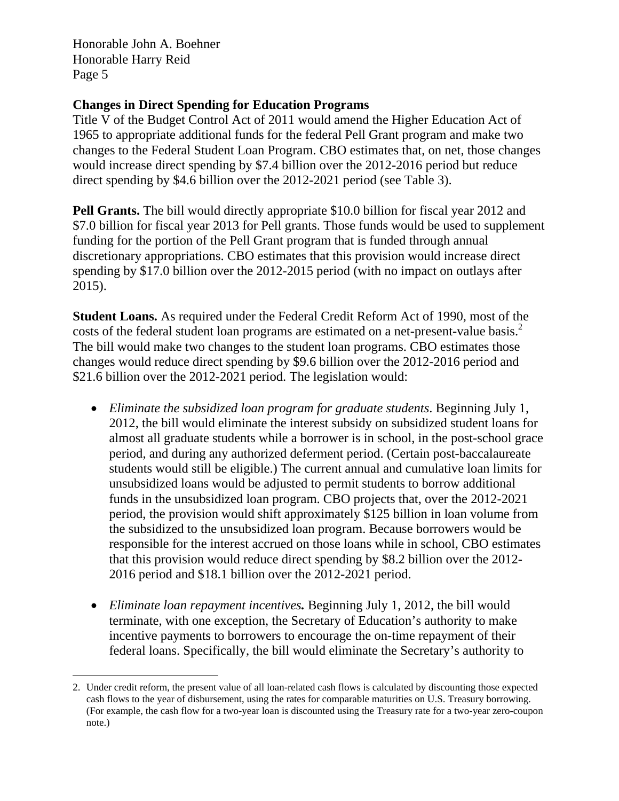## **Changes in Direct Spending for Education Programs**

Title V of the Budget Control Act of 2011 would amend the Higher Education Act of 1965 to appropriate additional funds for the federal Pell Grant program and make two changes to the Federal Student Loan Program. CBO estimates that, on net, those changes would increase direct spending by \$7.4 billion over the 2012-2016 period but reduce direct spending by \$4.6 billion over the 2012-2021 period (see Table 3).

**Pell Grants.** The bill would directly appropriate \$10.0 billion for fiscal year 2012 and \$7.0 billion for fiscal year 2013 for Pell grants. Those funds would be used to supplement funding for the portion of the Pell Grant program that is funded through annual discretionary appropriations. CBO estimates that this provision would increase direct spending by \$17.0 billion over the 2012-2015 period (with no impact on outlays after 2015).

**Student Loans.** As required under the Federal Credit Reform Act of 1990, most of the costs of the federal student loan programs are estimated on a net-present-value basis.<sup>2</sup> The bill would make two changes to the student loan programs. CBO estimates those changes would reduce direct spending by \$9.6 billion over the 2012-2016 period and \$21.6 billion over the 2012-2021 period. The legislation would:

- *Eliminate the subsidized loan program for graduate students*. Beginning July 1, 2012, the bill would eliminate the interest subsidy on subsidized student loans for almost all graduate students while a borrower is in school, in the post-school grace period, and during any authorized deferment period. (Certain post-baccalaureate students would still be eligible.) The current annual and cumulative loan limits for unsubsidized loans would be adjusted to permit students to borrow additional funds in the unsubsidized loan program. CBO projects that, over the 2012-2021 period, the provision would shift approximately \$125 billion in loan volume from the subsidized to the unsubsidized loan program. Because borrowers would be responsible for the interest accrued on those loans while in school, CBO estimates that this provision would reduce direct spending by \$8.2 billion over the 2012- 2016 period and \$18.1 billion over the 2012-2021 period.
- *Eliminate loan repayment incentives.* Beginning July 1, 2012, the bill would terminate, with one exception, the Secretary of Education's authority to make incentive payments to borrowers to encourage the on-time repayment of their federal loans. Specifically, the bill would eliminate the Secretary's authority to

 2. Under credit reform, the present value of all loan-related cash flows is calculated by discounting those expected cash flows to the year of disbursement, using the rates for comparable maturities on U.S. Treasury borrowing. (For example, the cash flow for a two-year loan is discounted using the Treasury rate for a two-year zero-coupon note.)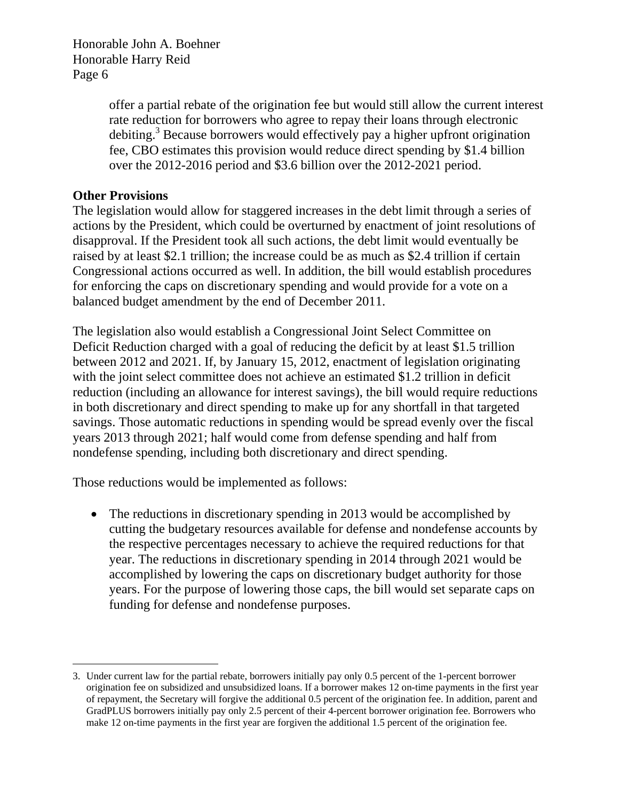> offer a partial rebate of the origination fee but would still allow the current interest rate reduction for borrowers who agree to repay their loans through electronic debiting.<sup>3</sup> Because borrowers would effectively pay a higher upfront origination fee, CBO estimates this provision would reduce direct spending by \$1.4 billion over the 2012-2016 period and \$3.6 billion over the 2012-2021 period.

# **Other Provisions**

The legislation would allow for staggered increases in the debt limit through a series of actions by the President, which could be overturned by enactment of joint resolutions of disapproval. If the President took all such actions, the debt limit would eventually be raised by at least \$2.1 trillion; the increase could be as much as \$2.4 trillion if certain Congressional actions occurred as well. In addition, the bill would establish procedures for enforcing the caps on discretionary spending and would provide for a vote on a balanced budget amendment by the end of December 2011.

The legislation also would establish a Congressional Joint Select Committee on Deficit Reduction charged with a goal of reducing the deficit by at least \$1.5 trillion between 2012 and 2021. If, by January 15, 2012, enactment of legislation originating with the joint select committee does not achieve an estimated \$1.2 trillion in deficit reduction (including an allowance for interest savings), the bill would require reductions in both discretionary and direct spending to make up for any shortfall in that targeted savings. Those automatic reductions in spending would be spread evenly over the fiscal years 2013 through 2021; half would come from defense spending and half from nondefense spending, including both discretionary and direct spending.

Those reductions would be implemented as follows:

• The reductions in discretionary spending in 2013 would be accomplished by cutting the budgetary resources available for defense and nondefense accounts by the respective percentages necessary to achieve the required reductions for that year. The reductions in discretionary spending in 2014 through 2021 would be accomplished by lowering the caps on discretionary budget authority for those years. For the purpose of lowering those caps, the bill would set separate caps on funding for defense and nondefense purposes.

 $\overline{a}$ 3. Under current law for the partial rebate, borrowers initially pay only 0.5 percent of the 1-percent borrower origination fee on subsidized and unsubsidized loans. If a borrower makes 12 on-time payments in the first year of repayment, the Secretary will forgive the additional 0.5 percent of the origination fee. In addition, parent and GradPLUS borrowers initially pay only 2.5 percent of their 4-percent borrower origination fee. Borrowers who make 12 on-time payments in the first year are forgiven the additional 1.5 percent of the origination fee.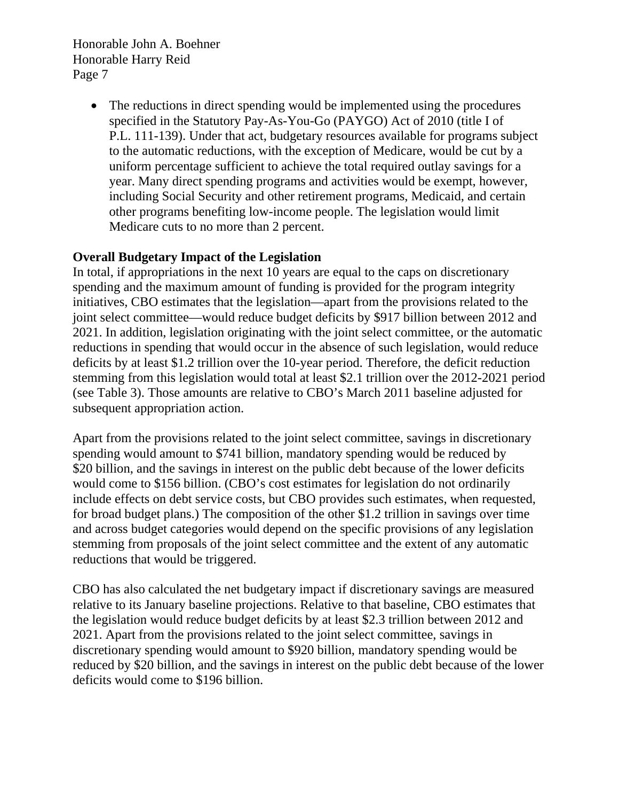> • The reductions in direct spending would be implemented using the procedures specified in the Statutory Pay-As-You-Go (PAYGO) Act of 2010 (title I of P.L. 111-139). Under that act, budgetary resources available for programs subject to the automatic reductions, with the exception of Medicare, would be cut by a uniform percentage sufficient to achieve the total required outlay savings for a year. Many direct spending programs and activities would be exempt, however, including Social Security and other retirement programs, Medicaid, and certain other programs benefiting low-income people. The legislation would limit Medicare cuts to no more than 2 percent.

# **Overall Budgetary Impact of the Legislation**

In total, if appropriations in the next 10 years are equal to the caps on discretionary spending and the maximum amount of funding is provided for the program integrity initiatives, CBO estimates that the legislation—apart from the provisions related to the joint select committee—would reduce budget deficits by \$917 billion between 2012 and 2021. In addition, legislation originating with the joint select committee, or the automatic reductions in spending that would occur in the absence of such legislation, would reduce deficits by at least \$1.2 trillion over the 10-year period. Therefore, the deficit reduction stemming from this legislation would total at least \$2.1 trillion over the 2012-2021 period (see Table 3). Those amounts are relative to CBO's March 2011 baseline adjusted for subsequent appropriation action.

Apart from the provisions related to the joint select committee, savings in discretionary spending would amount to \$741 billion, mandatory spending would be reduced by \$20 billion, and the savings in interest on the public debt because of the lower deficits would come to \$156 billion. (CBO's cost estimates for legislation do not ordinarily include effects on debt service costs, but CBO provides such estimates, when requested, for broad budget plans.) The composition of the other \$1.2 trillion in savings over time and across budget categories would depend on the specific provisions of any legislation stemming from proposals of the joint select committee and the extent of any automatic reductions that would be triggered.

CBO has also calculated the net budgetary impact if discretionary savings are measured relative to its January baseline projections. Relative to that baseline, CBO estimates that the legislation would reduce budget deficits by at least \$2.3 trillion between 2012 and 2021. Apart from the provisions related to the joint select committee, savings in discretionary spending would amount to \$920 billion, mandatory spending would be reduced by \$20 billion, and the savings in interest on the public debt because of the lower deficits would come to \$196 billion.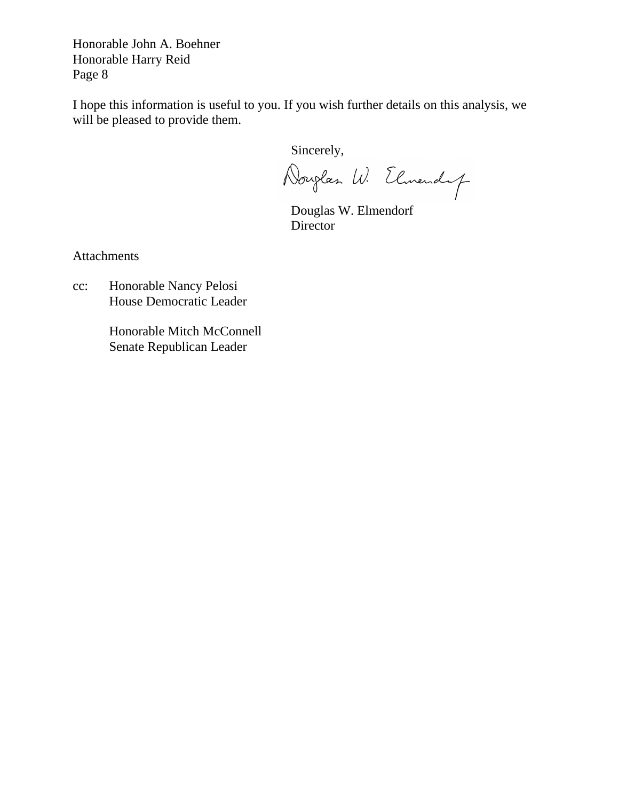I hope this information is useful to you. If you wish further details on this analysis, we will be pleased to provide them.

Sincerely,

Douglas W. Elmendy

 Douglas W. Elmendorf **Director** 

Attachments

cc: Honorable Nancy Pelosi House Democratic Leader

> Honorable Mitch McConnell Senate Republican Leader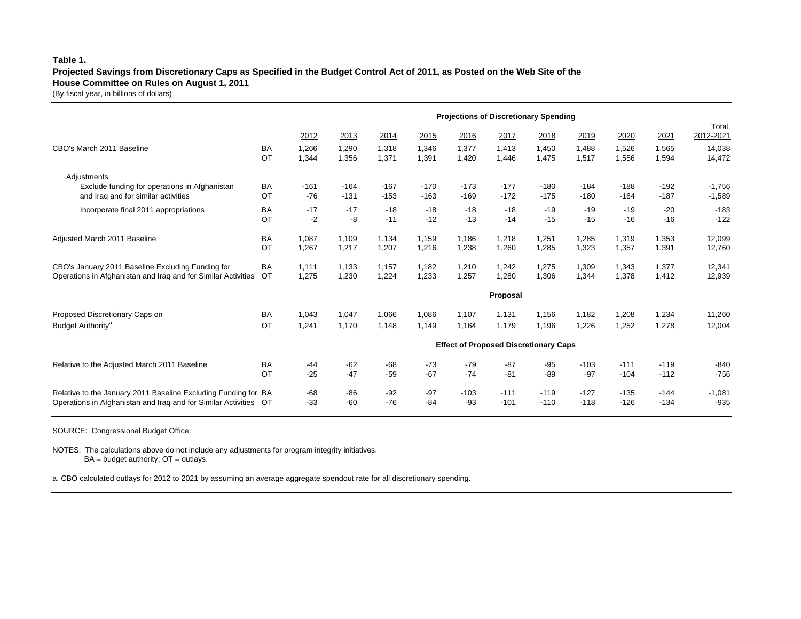### **Table 1.**

### **Projected Savings from Discretionary Caps as Specified in the Budget Control Act of 2011, as Posted on the Web Site of the House Committee on Rules on August 1, 2011**

(By fiscal year, in billions of dollars)

|                                                                  | <b>Projections of Discretionary Spending</b> |          |        |        |        |        |        |        |        |        |        |                     |  |
|------------------------------------------------------------------|----------------------------------------------|----------|--------|--------|--------|--------|--------|--------|--------|--------|--------|---------------------|--|
|                                                                  |                                              | 2012     | 2013   | 2014   | 2015   | 2016   | 2017   | 2018   | 2019   | 2020   | 2021   | Total,<br>2012-2021 |  |
| CBO's March 2011 Baseline                                        | BA                                           | 1,266    | 1,290  | 1,318  | 1,346  | 1.377  | 1,413  | 1,450  | 1.488  | 1,526  | 1,565  | 14,038              |  |
|                                                                  | OT                                           | 1,344    | 1,356  | 1,371  | 1,391  | 1,420  | 1,446  | 1,475  | 1,517  | 1,556  | 1,594  | 14,472              |  |
| Adjustments                                                      |                                              |          |        |        |        |        |        |        |        |        |        |                     |  |
| Exclude funding for operations in Afghanistan                    | <b>BA</b>                                    | $-161$   | $-164$ | $-167$ | $-170$ | $-173$ | $-177$ | $-180$ | $-184$ | $-188$ | $-192$ | $-1,756$            |  |
| and Iraq and for similar activities                              | OT                                           | $-76$    | $-131$ | $-153$ | $-163$ | $-169$ | $-172$ | $-175$ | $-180$ | $-184$ | $-187$ | $-1,589$            |  |
| Incorporate final 2011 appropriations                            | <b>BA</b>                                    | $-17$    | $-17$  | $-18$  | $-18$  | $-18$  | $-18$  | $-19$  | $-19$  | $-19$  | $-20$  | $-183$              |  |
|                                                                  | OT                                           | $-2$     | -8     | $-11$  | $-12$  | $-13$  | $-14$  | $-15$  | $-15$  | $-16$  | $-16$  | $-122$              |  |
| Adjusted March 2011 Baseline                                     | <b>BA</b>                                    | 1,087    | 1.109  | 1.134  | 1,159  | 1.186  | 1,218  | 1,251  | 1.285  | 1,319  | 1,353  | 12,099              |  |
|                                                                  | OT                                           | 1,267    | 1,217  | 1,207  | 1,216  | 1,238  | 1,260  | 1,285  | 1,323  | 1,357  | 1,391  | 12,760              |  |
| CBO's January 2011 Baseline Excluding Funding for                | <b>BA</b>                                    | 1.111    | 1.133  | 1.157  | 1.182  | 1.210  | 1.242  | 1,275  | 1.309  | 1.343  | 1.377  | 12,341              |  |
| Operations in Afghanistan and Iraq and for Similar Activities    | OT                                           | 1,275    | 1,230  | 1,224  | 1,233  | 1,257  | 1,280  | 1,306  | 1,344  | 1,378  | 1,412  | 12,939              |  |
|                                                                  |                                              | Proposal |        |        |        |        |        |        |        |        |        |                     |  |
| Proposed Discretionary Caps on                                   | <b>BA</b>                                    | 1,043    | 1,047  | 1,066  | 1,086  | 1,107  | 1,131  | 1,156  | 1,182  | 1,208  | 1,234  | 11,260              |  |
| Budget Authority <sup>a</sup>                                    | OT                                           | 1,241    | 1.170  | 1.148  | 1.149  | 1.164  | 1.179  | 1,196  | 1.226  | 1,252  | 1,278  | 12,004              |  |
|                                                                  | <b>Effect of Proposed Discretionary Caps</b> |          |        |        |        |        |        |        |        |        |        |                     |  |
| Relative to the Adjusted March 2011 Baseline                     | <b>BA</b>                                    | $-44$    | $-62$  | $-68$  | $-73$  | $-79$  | $-87$  | $-95$  | $-103$ | $-111$ | $-119$ | $-840$              |  |
|                                                                  | OT                                           | $-25$    | $-47$  | $-59$  | $-67$  | $-74$  | $-81$  | $-89$  | $-97$  | $-104$ | $-112$ | $-756$              |  |
| Relative to the January 2011 Baseline Excluding Funding for BA   |                                              | $-68$    | $-86$  | $-92$  | $-97$  | $-103$ | $-111$ | $-119$ | $-127$ | $-135$ | $-144$ | $-1,081$            |  |
| Operations in Afghanistan and Iraq and for Similar Activities OT |                                              | $-33$    | $-60$  | $-76$  | $-84$  | -93    | $-101$ | $-110$ | $-118$ | $-126$ | $-134$ | $-935$              |  |

SOURCE: Congressional Budget Office.

NOTES: The calculations above do not include any adjustments for program integrity initiatives.  $BA = budget$  authority;  $OT = outlays$ .

a. CBO calculated outlays for 2012 to 2021 by assuming an average aggregate spendout rate for all discretionary spending.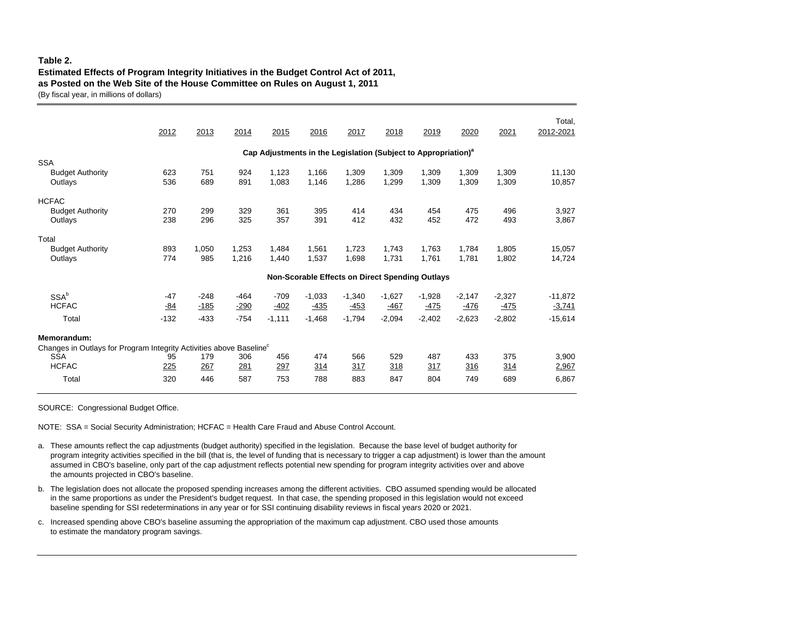### **Table 2.**

### **Estimated Effects of Program Integrity Initiatives in the Budget Control Act of 2011, as Posted on the Web Site of the House Committee on Rules on August 1, 2011**

(By fiscal year, in millions of dollars)

|                                                                                                | 2012                                                                       | 2013                       | 2014                       | 2015                         | 2016                                                   | 2017                           | 2018                           | 2019                           | 2020                           | 2021                           | Total,<br>2012-2021                |  |
|------------------------------------------------------------------------------------------------|----------------------------------------------------------------------------|----------------------------|----------------------------|------------------------------|--------------------------------------------------------|--------------------------------|--------------------------------|--------------------------------|--------------------------------|--------------------------------|------------------------------------|--|
|                                                                                                | Cap Adjustments in the Legislation (Subject to Appropriation) <sup>a</sup> |                            |                            |                              |                                                        |                                |                                |                                |                                |                                |                                    |  |
| <b>SSA</b><br><b>Budget Authority</b><br>Outlays                                               | 623<br>536                                                                 | 751<br>689                 | 924<br>891                 | 1.123<br>1,083               | 1.166<br>1,146                                         | 1.309<br>1,286                 | 1.309<br>1,299                 | 1.309<br>1,309                 | 1.309<br>1,309                 | 1.309<br>1,309                 | 11.130<br>10,857                   |  |
| <b>HCFAC</b><br><b>Budget Authority</b><br>Outlavs                                             | 270<br>238                                                                 | 299<br>296                 | 329<br>325                 | 361<br>357                   | 395<br>391                                             | 414<br>412                     | 434<br>432                     | 454<br>452                     | 475<br>472                     | 496<br>493                     | 3,927<br>3,867                     |  |
| Total<br><b>Budget Authority</b><br>Outlays                                                    | 893<br>774                                                                 | 1,050<br>985               | 1,253<br>1.216             | 1,484<br>1,440               | 1,561<br>1,537                                         | 1,723<br>1.698                 | 1,743<br>1,731                 | 1,763<br>1.761                 | 1,784<br>1.781                 | 1,805<br>1,802                 | 15,057<br>14.724                   |  |
|                                                                                                |                                                                            |                            |                            |                              | <b>Non-Scorable Effects on Direct Spending Outlays</b> |                                |                                |                                |                                |                                |                                    |  |
| SSA <sup>b</sup><br><b>HCFAC</b><br>Total                                                      | $-47$<br>$-84$<br>$-132$                                                   | $-248$<br>$-185$<br>$-433$ | $-464$<br>$-290$<br>$-754$ | $-709$<br>$-402$<br>$-1,111$ | $-1,033$<br>$-435$<br>$-1,468$                         | $-1,340$<br>$-453$<br>$-1,794$ | $-1,627$<br>$-467$<br>$-2,094$ | $-1,928$<br>$-475$<br>$-2,402$ | $-2,147$<br>$-476$<br>$-2,623$ | $-2,327$<br>$-475$<br>$-2,802$ | $-11,872$<br>$-3,741$<br>$-15,614$ |  |
| Memorandum:<br>Changes in Outlays for Program Integrity Activities above Baseline <sup>c</sup> |                                                                            |                            |                            |                              |                                                        |                                |                                |                                |                                |                                |                                    |  |
| <b>SSA</b><br><b>HCFAC</b>                                                                     | 95<br>225                                                                  | 179<br>267                 | 306<br>281                 | 456<br>297                   | 474<br>314                                             | 566<br>317                     | 529<br>318                     | 487<br>317                     | 433<br>316                     | 375<br><u>314</u>              | 3,900<br>2,967                     |  |
| Total                                                                                          | 320                                                                        | 446                        | 587                        | 753                          | 788                                                    | 883                            | 847                            | 804                            | 749                            | 689                            | 6,867                              |  |

SOURCE: Congressional Budget Office.

NOTE: SSA = Social Security Administration; HCFAC = Health Care Fraud and Abuse Control Account.

a. These amounts reflect the cap adjustments (budget authority) specified in the legislation. Because the base level of budget authority for program integrity activities specified in the bill (that is, the level of funding that is necessary to trigger a cap adjustment) is lower than the amount assumed in CBO's baseline, only part of the cap adjustment reflects potential new spending for program integrity activities over and above the amounts projected in CBO's baseline.

b. The legislation does not allocate the proposed spending increases among the different activities. CBO assumed spending would be allocated in the same proportions as under the President's budget request. In that case, the spending proposed in this legislation would not exceed baseline spending for SSI redeterminations in any year or for SSI continuing disability reviews in fiscal years 2020 or 2021.

c. Increased spending above CBO's baseline assuming the appropriation of the maximum cap adjustment. CBO used those amounts to estimate the mandatory program savings.